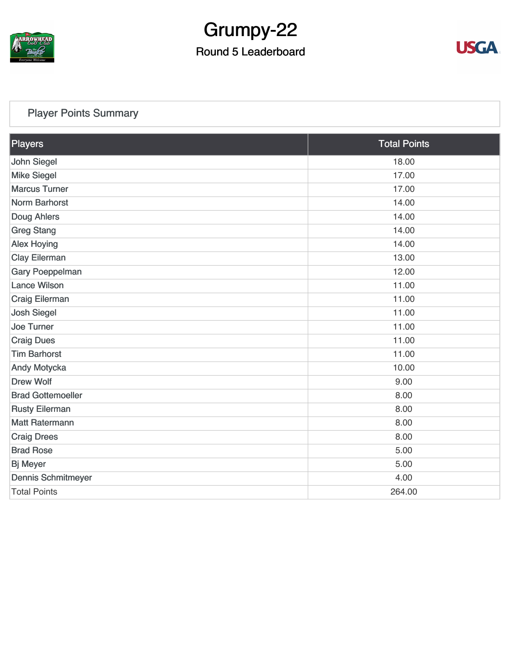

# Grumpy-22

#### Round 5 Leaderboard



#### [Player Points Summary](https://static.golfgenius.com/v2tournaments/total_points?league_id=8123139340541895924&round_id=8123140163900548468)

| Players                  | <b>Total Points</b> |
|--------------------------|---------------------|
| John Siegel              | 18.00               |
| <b>Mike Siegel</b>       | 17.00               |
| <b>Marcus Turner</b>     | 17.00               |
| Norm Barhorst            | 14.00               |
| Doug Ahlers              | 14.00               |
| <b>Greg Stang</b>        | 14.00               |
| <b>Alex Hoying</b>       | 14.00               |
| <b>Clay Eilerman</b>     | 13.00               |
| <b>Gary Poeppelman</b>   | 12.00               |
| <b>Lance Wilson</b>      | 11.00               |
| <b>Craig Eilerman</b>    | 11.00               |
| <b>Josh Siegel</b>       | 11.00               |
| Joe Turner               | 11.00               |
| <b>Craig Dues</b>        | 11.00               |
| <b>Tim Barhorst</b>      | 11.00               |
| Andy Motycka             | 10.00               |
| <b>Drew Wolf</b>         | 9.00                |
| <b>Brad Gottemoeller</b> | 8.00                |
| <b>Rusty Eilerman</b>    | 8.00                |
| <b>Matt Ratermann</b>    | 8.00                |
| <b>Craig Drees</b>       | 8.00                |
| <b>Brad Rose</b>         | 5.00                |
| <b>Bj Meyer</b>          | 5.00                |
| Dennis Schmitmeyer       | 4.00                |
| <b>Total Points</b>      | 264.00              |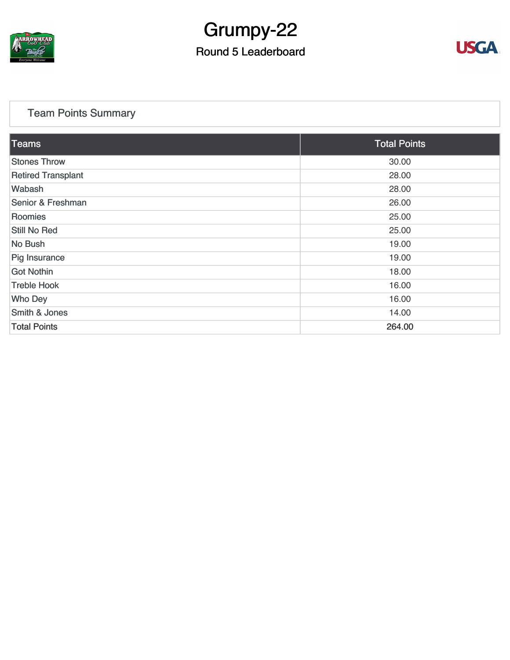

# Grumpy-22

#### Round 5 Leaderboard



#### [Team Points Summary](https://static.golfgenius.com/v2tournaments/team_points?league_id=8123139340541895924&round_id=8123140163900548468)

| Teams                     | <b>Total Points</b> |
|---------------------------|---------------------|
| <b>Stones Throw</b>       | 30.00               |
| <b>Retired Transplant</b> | 28.00               |
| Wabash                    | 28.00               |
| Senior & Freshman         | 26.00               |
| Roomies                   | 25.00               |
| <b>Still No Red</b>       | 25.00               |
| No Bush                   | 19.00               |
| Pig Insurance             | 19.00               |
| <b>Got Nothin</b>         | 18.00               |
| <b>Treble Hook</b>        | 16.00               |
| <b>Who Dey</b>            | 16.00               |
| Smith & Jones             | 14.00               |
| <b>Total Points</b>       | 264.00              |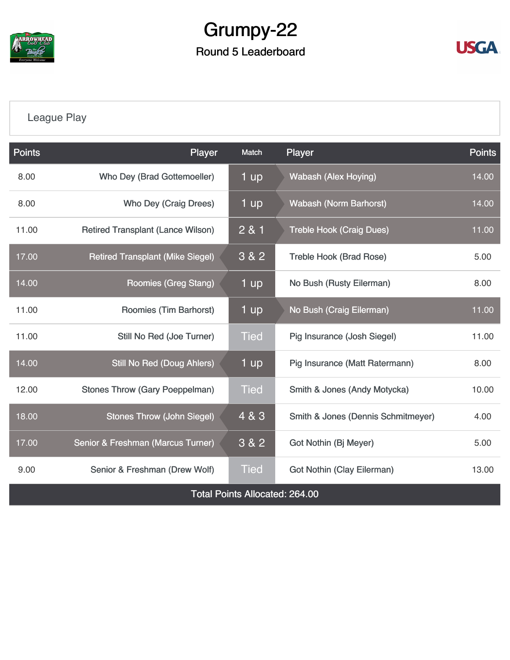

### Grumpy-22 Round 5 Leaderboard



#### [League Play](https://static.golfgenius.com/v2tournaments/8123149182493009061?called_from=&round_index=5)

| <b>Points</b>                         | Player                                   | Match       | Player                             | <b>Points</b> |  |  |  |
|---------------------------------------|------------------------------------------|-------------|------------------------------------|---------------|--|--|--|
| 8.00                                  | Who Dey (Brad Gottemoeller)              | 1 up        | <b>Wabash (Alex Hoying)</b>        | 14.00         |  |  |  |
| 8.00                                  | Who Dey (Craig Drees)                    | 1 up        | <b>Wabash (Norm Barhorst)</b>      | 14.00         |  |  |  |
| 11.00                                 | <b>Retired Transplant (Lance Wilson)</b> | 2 & 1       | <b>Treble Hook (Craig Dues)</b>    | 11.00         |  |  |  |
| 17.00                                 | <b>Retired Transplant (Mike Siegel)</b>  | 3 & 2       | <b>Treble Hook (Brad Rose)</b>     | 5.00          |  |  |  |
| 14.00                                 | Roomies (Greg Stang)                     | 1 up        | No Bush (Rusty Eilerman)           | 8.00          |  |  |  |
| 11.00                                 | Roomies (Tim Barhorst)                   | 1 up        | No Bush (Craig Eilerman)           | 11.00         |  |  |  |
| 11.00                                 | Still No Red (Joe Turner)                | <b>Tied</b> | Pig Insurance (Josh Siegel)        | 11.00         |  |  |  |
| 14.00                                 | <b>Still No Red (Doug Ahlers)</b>        | 1 up        | Pig Insurance (Matt Ratermann)     | 8.00          |  |  |  |
| 12.00                                 | <b>Stones Throw (Gary Poeppelman)</b>    | <b>Tied</b> | Smith & Jones (Andy Motycka)       | 10.00         |  |  |  |
| 18.00                                 | <b>Stones Throw (John Siegel)</b>        | 4 & 3       | Smith & Jones (Dennis Schmitmeyer) | 4.00          |  |  |  |
| 17.00                                 | Senior & Freshman (Marcus Turner)        | 3 & 2       | Got Nothin (Bj Meyer)              | 5.00          |  |  |  |
| 9.00                                  | Senior & Freshman (Drew Wolf)            | <b>Tied</b> | <b>Got Nothin (Clay Eilerman)</b>  | 13.00         |  |  |  |
| <b>Total Points Allocated: 264.00</b> |                                          |             |                                    |               |  |  |  |